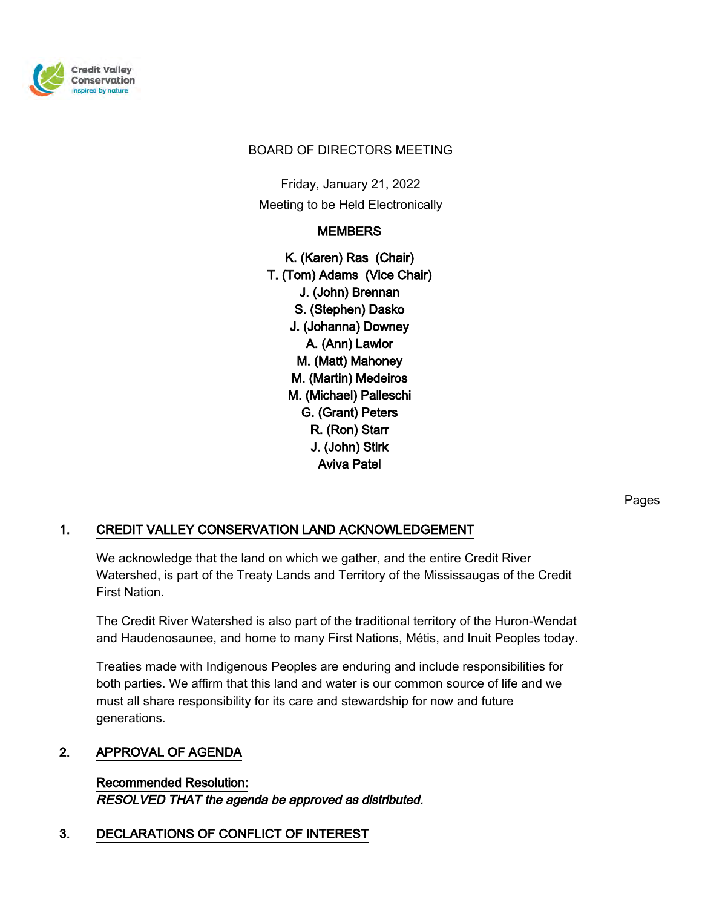

#### BOARD OF DIRECTORS MEETING

Friday, January 21, 2022 Meeting to be Held Electronically

# **MEMBERS**

K. (Karen) Ras (Chair) T. (Tom) Adams (Vice Chair) J. (John) Brennan S. (Stephen) Dasko J. (Johanna) Downey A. (Ann) Lawlor M. (Matt) Mahoney M. (Martin) Medeiros M. (Michael) Palleschi G. (Grant) Peters R. (Ron) Starr J. (John) Stirk Aviva Patel

Pages

# 1. CREDIT VALLEY CONSERVATION LAND ACKNOWLEDGEMENT

We acknowledge that the land on which we gather, and the entire Credit River Watershed, is part of the Treaty Lands and Territory of the Mississaugas of the Credit First Nation.

The Credit River Watershed is also part of the traditional territory of the Huron-Wendat and Haudenosaunee, and home to many First Nations, Métis, and Inuit Peoples today.

Treaties made with Indigenous Peoples are enduring and include responsibilities for both parties. We affirm that this land and water is our common source of life and we must all share responsibility for its care and stewardship for now and future generations.

#### 2. APPROVAL OF AGENDA

Recommended Resolution: RESOLVED THAT the agenda be approved as distributed.

# 3. DECLARATIONS OF CONFLICT OF INTEREST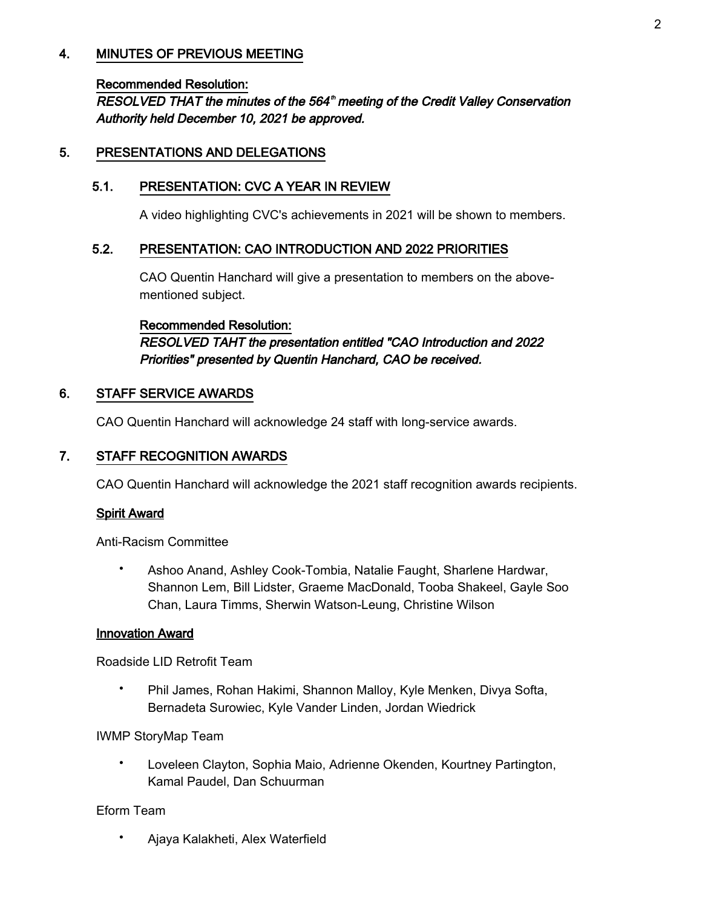# 4. MINUTES OF PREVIOUS MEETING

#### Recommended Resolution:

RESOLVED THAT the minutes of the 564<sup>th</sup> meeting of the Credit Valley Conservation Authority held December 10, 2021 be approved.

#### 5. PRESENTATIONS AND DELEGATIONS

### 5.1. PRESENTATION: CVC A YEAR IN REVIEW

A video highlighting CVC's achievements in 2021 will be shown to members.

#### 5.2. PRESENTATION: CAO INTRODUCTION AND 2022 PRIORITIES

CAO Quentin Hanchard will give a presentation to members on the abovementioned subject.

Recommended Resolution: RESOLVED TAHT the presentation entitled "CAO Introduction and 2022 Priorities" presented by Quentin Hanchard, CAO be received.

#### 6. STAFF SERVICE AWARDS

CAO Quentin Hanchard will acknowledge 24 staff with long-service awards.

# 7. STAFF RECOGNITION AWARDS

CAO Quentin Hanchard will acknowledge the 2021 staff recognition awards recipients.

# Spirit Award

Anti-Racism Committee

Ashoo Anand, Ashley Cook-Tombia, Natalie Faught, Sharlene Hardwar, Shannon Lem, Bill Lidster, Graeme MacDonald, Tooba Shakeel, Gayle Soo Chan, Laura Timms, Sherwin Watson-Leung, Christine Wilson •

#### Innovation Award

Roadside LID Retrofit Team

Phil James, Rohan Hakimi, Shannon Malloy, Kyle Menken, Divya Softa, Bernadeta Surowiec, Kyle Vander Linden, Jordan Wiedrick •

IWMP StoryMap Team

Loveleen Clayton, Sophia Maio, Adrienne Okenden, Kourtney Partington, Kamal Paudel, Dan Schuurman •

#### Eform Team

• Ajaya Kalakheti, Alex Waterfield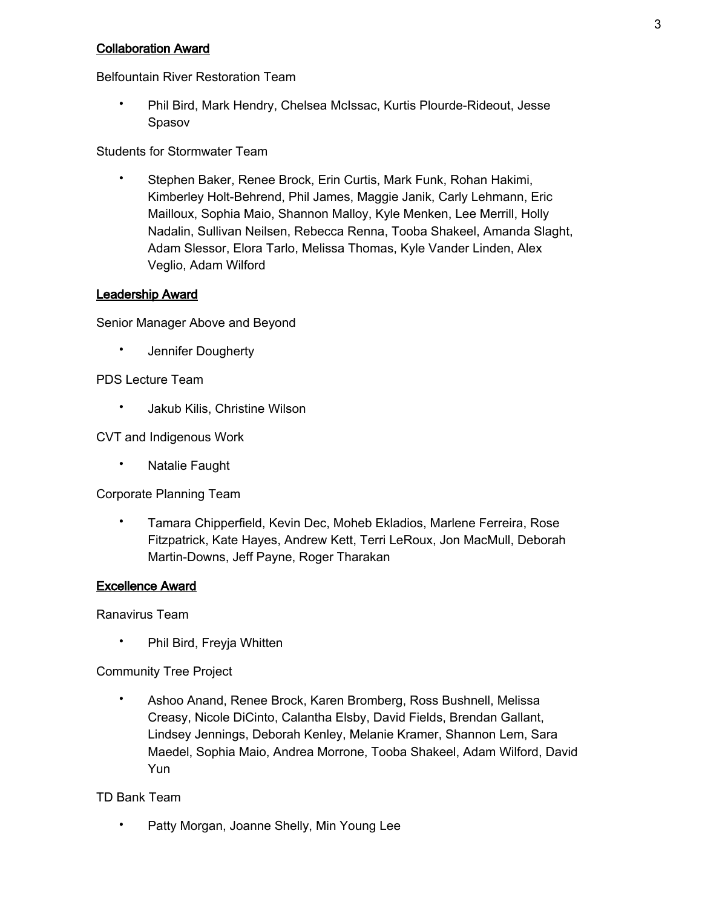#### Collaboration Award

Belfountain River Restoration Team

Phil Bird, Mark Hendry, Chelsea McIssac, Kurtis Plourde-Rideout, Jesse Spasov •

Students for Stormwater Team

Stephen Baker, Renee Brock, Erin Curtis, Mark Funk, Rohan Hakimi, Kimberley Holt-Behrend, Phil James, Maggie Janik, Carly Lehmann, Eric Mailloux, Sophia Maio, Shannon Malloy, Kyle Menken, Lee Merrill, Holly Nadalin, Sullivan Neilsen, Rebecca Renna, Tooba Shakeel, Amanda Slaght, Adam Slessor, Elora Tarlo, Melissa Thomas, Kyle Vander Linden, Alex Veglio, Adam Wilford •

#### Leadership Award

Senior Manager Above and Beyond

• Jennifer Dougherty

#### PDS Lecture Team

• Jakub Kilis, Christine Wilson

CVT and Indigenous Work

• Natalie Faught

Corporate Planning Team

Tamara Chipperfield, Kevin Dec, Moheb Ekladios, Marlene Ferreira, Rose Fitzpatrick, Kate Hayes, Andrew Kett, Terri LeRoux, Jon MacMull, Deborah Martin-Downs, Jeff Payne, Roger Tharakan •

#### Excellence Award

Ranavirus Team

• Phil Bird, Freyja Whitten

Community Tree Project

Ashoo Anand, Renee Brock, Karen Bromberg, Ross Bushnell, Melissa Creasy, Nicole DiCinto, Calantha Elsby, David Fields, Brendan Gallant, Lindsey Jennings, Deborah Kenley, Melanie Kramer, Shannon Lem, Sara Maedel, Sophia Maio, Andrea Morrone, Tooba Shakeel, Adam Wilford, David Yun •

TD Bank Team

• Patty Morgan, Joanne Shelly, Min Young Lee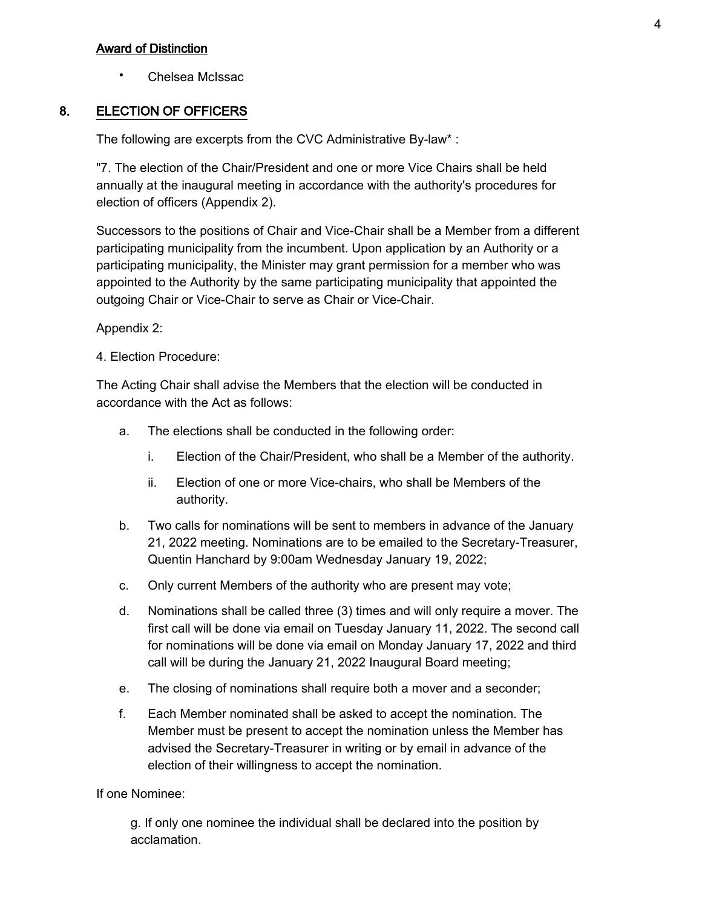#### Award of Distinction

• Chelsea McIssac

#### 8. ELECTION OF OFFICERS

The following are excerpts from the CVC Administrative By-law\* :

"7. The election of the Chair/President and one or more Vice Chairs shall be held annually at the inaugural meeting in accordance with the authority's procedures for election of officers (Appendix 2).

Successors to the positions of Chair and Vice-Chair shall be a Member from a different participating municipality from the incumbent. Upon application by an Authority or a participating municipality, the Minister may grant permission for a member who was appointed to the Authority by the same participating municipality that appointed the outgoing Chair or Vice-Chair to serve as Chair or Vice-Chair.

#### Appendix 2:

4. Election Procedure:

The Acting Chair shall advise the Members that the election will be conducted in accordance with the Act as follows:

- a. The elections shall be conducted in the following order:
	- i. Election of the Chair/President, who shall be a Member of the authority.
	- Election of one or more Vice-chairs, who shall be Members of the authority. ii.
- Two calls for nominations will be sent to members in advance of the January 21, 2022 meeting. Nominations are to be emailed to the Secretary-Treasurer, Quentin Hanchard by 9:00am Wednesday January 19, 2022; b.
- c. Only current Members of the authority who are present may vote;
- Nominations shall be called three (3) times and will only require a mover. The first call will be done via email on Tuesday January 11, 2022. The second call for nominations will be done via email on Monday January 17, 2022 and third call will be during the January 21, 2022 Inaugural Board meeting; d.
- e. The closing of nominations shall require both a mover and a seconder;
- Each Member nominated shall be asked to accept the nomination. The Member must be present to accept the nomination unless the Member has advised the Secretary-Treasurer in writing or by email in advance of the election of their willingness to accept the nomination. f.

If one Nominee:

g. If only one nominee the individual shall be declared into the position by acclamation.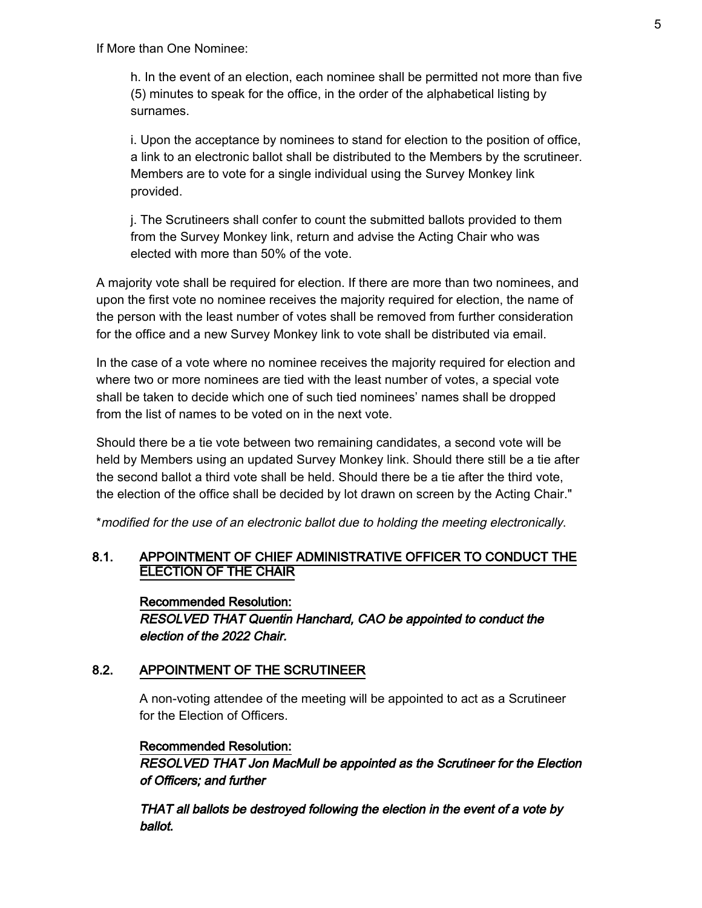h. In the event of an election, each nominee shall be permitted not more than five (5) minutes to speak for the office, in the order of the alphabetical listing by surnames.

i. Upon the acceptance by nominees to stand for election to the position of office, a link to an electronic ballot shall be distributed to the Members by the scrutineer. Members are to vote for a single individual using the Survey Monkey link provided.

j. The Scrutineers shall confer to count the submitted ballots provided to them from the Survey Monkey link, return and advise the Acting Chair who was elected with more than 50% of the vote.

A majority vote shall be required for election. If there are more than two nominees, and upon the first vote no nominee receives the majority required for election, the name of the person with the least number of votes shall be removed from further consideration for the office and a new Survey Monkey link to vote shall be distributed via email.

In the case of a vote where no nominee receives the majority required for election and where two or more nominees are tied with the least number of votes, a special vote shall be taken to decide which one of such tied nominees' names shall be dropped from the list of names to be voted on in the next vote.

Should there be a tie vote between two remaining candidates, a second vote will be held by Members using an updated Survey Monkey link. Should there still be a tie after the second ballot a third vote shall be held. Should there be a tie after the third vote, the election of the office shall be decided by lot drawn on screen by the Acting Chair."

\*modified for the use of an electronic ballot due to holding the meeting electronically.

# 8.1. APPOINTMENT OF CHIEF ADMINISTRATIVE OFFICER TO CONDUCT THE ELECTION OF THE CHAIR

Recommended Resolution: RESOLVED THAT Quentin Hanchard, CAO be appointed to conduct the election of the 2022 Chair.

# 8.2. APPOINTMENT OF THE SCRUTINEER

A non-voting attendee of the meeting will be appointed to act as a Scrutineer for the Election of Officers.

# Recommended Resolution:

RESOLVED THAT Jon MacMull be appointed as the Scrutineer for the Election of Officers; and further

THAT all ballots be destroyed following the election in the event of a vote by ballot.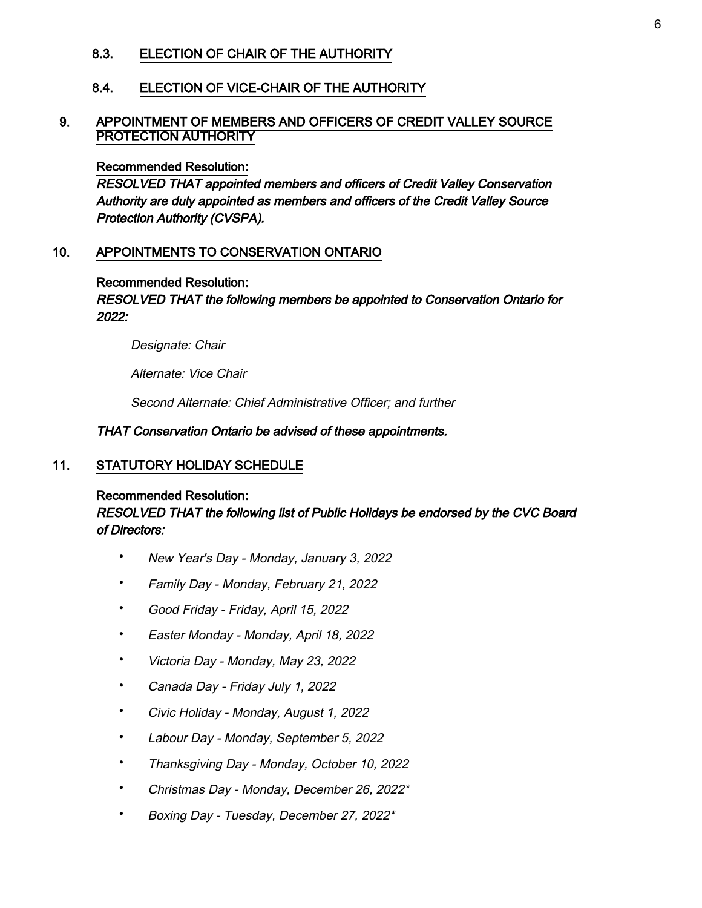#### 8.3. ELECTION OF CHAIR OF THE AUTHORITY

#### 8.4. ELECTION OF VICE-CHAIR OF THE AUTHORITY

#### 9. APPOINTMENT OF MEMBERS AND OFFICERS OF CREDIT VALLEY SOURCE PROTECTION AUTHORITY

#### Recommended Resolution:

RESOLVED THAT appointed members and officers of Credit Valley Conservation Authority are duly appointed as members and officers of the Credit Valley Source Protection Authority (CVSPA).

#### 10. APPOINTMENTS TO CONSERVATION ONTARIO

#### Recommended Resolution:

#### RESOLVED THAT the following members be appointed to Conservation Ontario for 2022:

Designate: Chair

Alternate: Vice Chair

Second Alternate: Chief Administrative Officer; and further

#### THAT Conservation Ontario be advised of these appointments.

#### 11. STATUTORY HOLIDAY SCHEDULE

#### Recommended Resolution:

#### RESOLVED THAT the following list of Public Holidays be endorsed by the CVC Board of Directors:

- New Year's Day Monday, January 3, 2022
- Family Day Monday, February 21, 2022
- Good Friday Friday, April 15, 2022
- Easter Monday Monday, April 18, 2022
- Victoria Day Monday, May 23, 2022
- Canada Day Friday July 1, 2022
- Civic Holiday Monday, August 1, 2022
- Labour Day Monday, September 5, 2022
- Thanksgiving Day Monday, October 10, 2022
- Christmas Day Monday, December 26, 2022\*
- Boxing Day Tuesday, December 27, 2022\*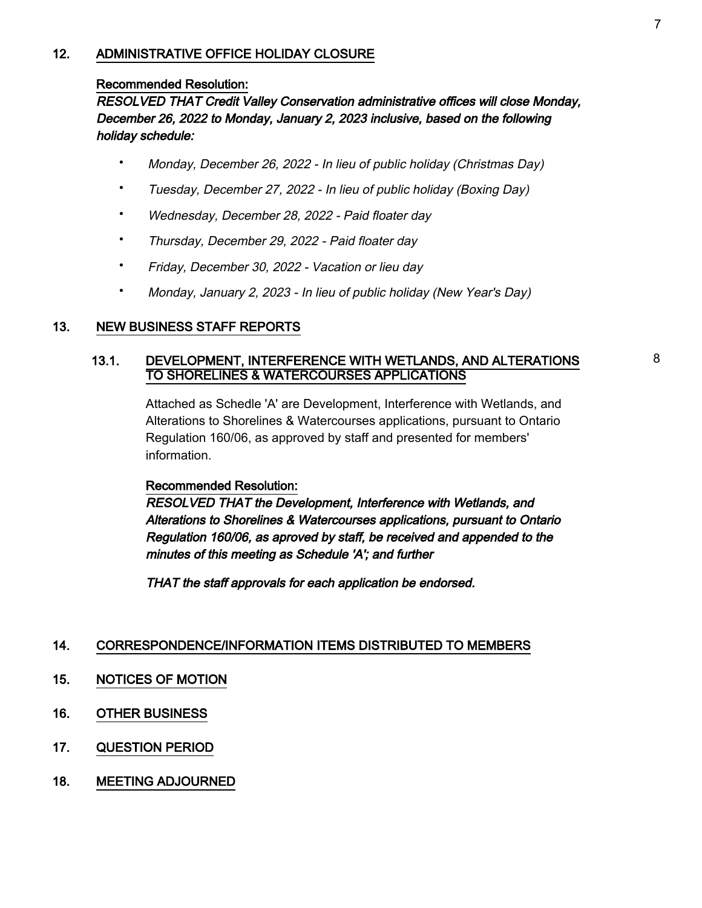#### 12. ADMINISTRATIVE OFFICE HOLIDAY CLOSURE

#### Recommended Resolution:

RESOLVED THAT Credit Valley Conservation administrative offices will close Monday, December 26, 2022 to Monday, January 2, 2023 inclusive, based on the following holiday schedule:

- Monday, December 26, 2022 In lieu of public holiday (Christmas Day)
- Tuesday, December 27, 2022 In lieu of public holiday (Boxing Day)
- Wednesday, December 28, 2022 Paid floater day
- Thursday, December 29, 2022 Paid floater day
- Friday, December 30, 2022 Vacation or lieu day
- Monday, January 2, 2023 In lieu of public holiday (New Year's Day)

# 13. NEW BUSINESS STAFF REPORTS

#### 13.1. DEVELOPMENT, INTERFERENCE WITH WETLANDS, AND ALTERATIONS TO SHORELINES & WATERCOURSES APPLICATIONS

Attached as Schedle 'A' are Development, Interference with Wetlands, and Alterations to Shorelines & Watercourses applications, pursuant to Ontario Regulation 160/06, as approved by staff and presented for members' information.

#### Recommended Resolution:

RESOLVED THAT the Development, Interference with Wetlands, and Alterations to Shorelines & Watercourses applications, pursuant to Ontario Regulation 160/06, as aproved by staff, be received and appended to the minutes of this meeting as Schedule 'A'; and further

THAT the staff approvals for each application be endorsed.

#### 14. CORRESPONDENCE/INFORMATION ITEMS DISTRIBUTED TO MEMBERS

- 15. NOTICES OF MOTION
- 16. OTHER BUSINESS
- 17. QUESTION PERIOD
- 18. MEETING ADJOURNED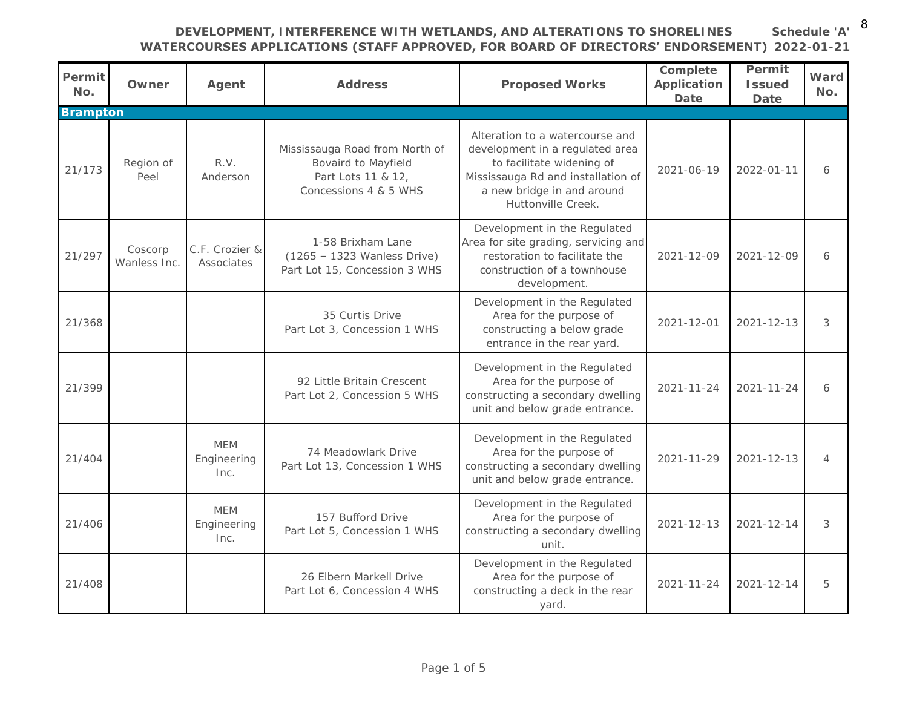**Schedule 'A'** 8

# **DEVELOPMENT, INTERFERENCE WITH WETLANDS, AND ALTERATIONS TO SHORELINES**

**WATERCOURSES APPLICATIONS (STAFF APPROVED, FOR BOARD OF DIRECTORS' ENDORSEMENT) 2022-01-21**

| Permit<br>No. | Owner                   | Agent                             | Address                                                                                              | Proposed Works                                                                                                                                                                            | Complete<br>Application<br>Date | Permit<br><b>Issued</b><br>Date | Ward<br>No.    |
|---------------|-------------------------|-----------------------------------|------------------------------------------------------------------------------------------------------|-------------------------------------------------------------------------------------------------------------------------------------------------------------------------------------------|---------------------------------|---------------------------------|----------------|
| Brampton      |                         |                                   |                                                                                                      |                                                                                                                                                                                           |                                 |                                 |                |
| 21/173        | Region of<br>Peel       | R.V.<br>Anderson                  | Mississauga Road from North of<br>Bovaird to Mayfield<br>Part Lots 11 & 12,<br>Concessions 4 & 5 WHS | Alteration to a watercourse and<br>development in a regulated area<br>to facilitate widening of<br>Mississauga Rd and installation of<br>a new bridge in and around<br>Huttonville Creek. | 2021-06-19                      | $2022 - 01 - 11$                | 6              |
| 21/297        | Coscorp<br>Wanless Inc. | C.F. Crozier &<br>Associates      | 1-58 Brixham Lane<br>$(1265 - 1323$ Wanless Drive)<br>Part Lot 15, Concession 3 WHS                  | Development in the Regulated<br>Area for site grading, servicing and<br>restoration to facilitate the<br>construction of a townhouse<br>development.                                      | $2021 - 12 - 09$                | $2021 - 12 - 09$                | 6              |
| 21/368        |                         |                                   | 35 Curtis Drive<br>Part Lot 3, Concession 1 WHS                                                      | Development in the Regulated<br>Area for the purpose of<br>constructing a below grade<br>entrance in the rear yard.                                                                       | $2021 - 12 - 01$                | $2021 - 12 - 13$                | 3              |
| 21/399        |                         |                                   | 92 Little Britain Crescent<br>Part Lot 2, Concession 5 WHS                                           | Development in the Regulated<br>Area for the purpose of<br>constructing a secondary dwelling<br>unit and below grade entrance.                                                            | $2021 - 11 - 24$                | $2021 - 11 - 24$                | 6              |
| 21/404        |                         | <b>MEM</b><br>Engineering<br>Inc. | 74 Meadowlark Drive<br>Part Lot 13, Concession 1 WHS                                                 | Development in the Regulated<br>Area for the purpose of<br>constructing a secondary dwelling<br>unit and below grade entrance.                                                            | $2021 - 11 - 29$                | $2021 - 12 - 13$                | $\overline{4}$ |
| 21/406        |                         | <b>MEM</b><br>Engineering<br>Inc. | 157 Bufford Drive<br>Part Lot 5, Concession 1 WHS                                                    | Development in the Regulated<br>Area for the purpose of<br>constructing a secondary dwelling<br>unit.                                                                                     | $2021 - 12 - 13$                | $2021 - 12 - 14$                | 3              |
| 21/408        |                         |                                   | 26 Elbern Markell Drive<br>Part Lot 6, Concession 4 WHS                                              | Development in the Regulated<br>Area for the purpose of<br>constructing a deck in the rear<br>yard.                                                                                       | $2021 - 11 - 24$                | $2021 - 12 - 14$                | 5              |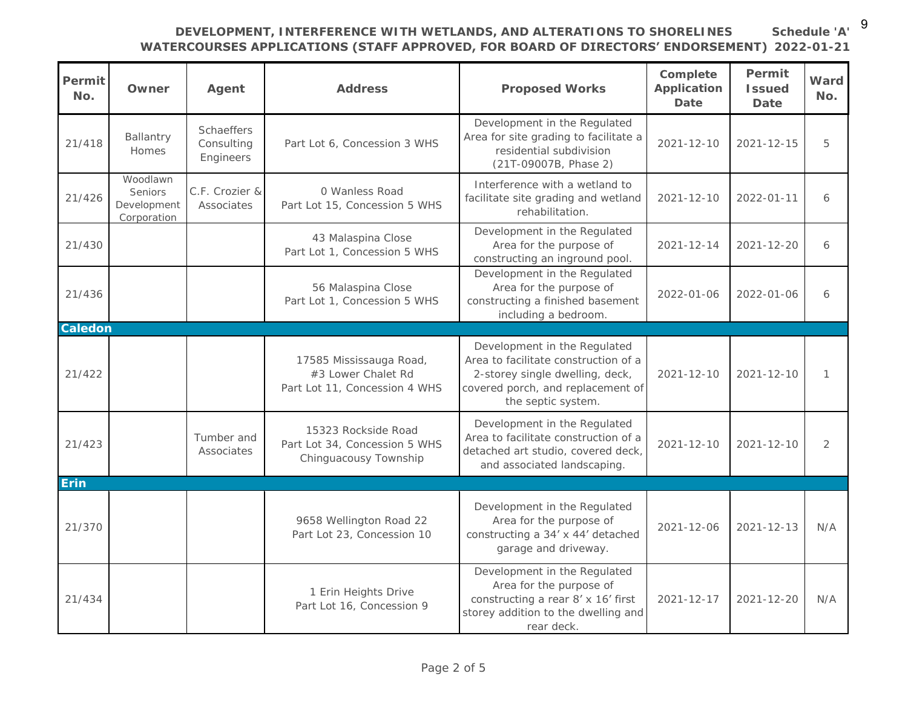9

# **DEVELOPMENT, INTERFERENCE WITH WETLANDS, AND ALTERATIONS TO SHORELINES**

**Schedule 'A'**

|               |                                                   |                                       | <b>WATERCOURSES APPLICATIONS (STAFF APPROVED, FOR BOARD OF DIRECTORS' ENDORSEMENT)</b> 2022-01-21 |                                                                                                                                                                    |                                 |                                 |                |
|---------------|---------------------------------------------------|---------------------------------------|---------------------------------------------------------------------------------------------------|--------------------------------------------------------------------------------------------------------------------------------------------------------------------|---------------------------------|---------------------------------|----------------|
| Permit<br>No. | Owner                                             | Agent                                 | Address                                                                                           | Proposed Works                                                                                                                                                     | Complete<br>Application<br>Date | Permit<br><b>Issued</b><br>Date | Ward<br>No.    |
| 21/418        | Ballantry<br>Homes                                | Schaeffers<br>Consulting<br>Engineers | Part Lot 6, Concession 3 WHS                                                                      | Development in the Regulated<br>Area for site grading to facilitate a<br>residential subdivision<br>(21T-09007B, Phase 2)                                          | $2021 - 12 - 10$                | $2021 - 12 - 15$                | 5              |
| 21/426        | Woodlawn<br>Seniors<br>Development<br>Corporation | C.F. Crozier &<br>Associates          | 0 Wanless Road<br>Part Lot 15, Concession 5 WHS                                                   | Interference with a wetland to<br>facilitate site grading and wetland<br>rehabilitation.                                                                           | $2021 - 12 - 10$                | $2022 - 01 - 11$                | 6              |
| 21/430        |                                                   |                                       | 43 Malaspina Close<br>Part Lot 1, Concession 5 WHS                                                | Development in the Regulated<br>Area for the purpose of<br>constructing an inground pool.                                                                          | 2021-12-14                      | 2021-12-20                      | 6              |
| 21/436        |                                                   |                                       | 56 Malaspina Close<br>Part Lot 1, Concession 5 WHS                                                | Development in the Regulated<br>Area for the purpose of<br>constructing a finished basement<br>including a bedroom.                                                | 2022-01-06                      | 2022-01-06                      | 6              |
| Caledon       |                                                   |                                       |                                                                                                   |                                                                                                                                                                    |                                 |                                 |                |
| 21/422        |                                                   |                                       | 17585 Mississauga Road,<br>#3 Lower Chalet Rd<br>Part Lot 11, Concession 4 WHS                    | Development in the Regulated<br>Area to facilitate construction of a<br>2-storey single dwelling, deck,<br>covered porch, and replacement of<br>the septic system. | 2021-12-10                      | $2021 - 12 - 10$                | 1              |
| 21/423        |                                                   | Tumber and<br>Associates              | 15323 Rockside Road<br>Part Lot 34, Concession 5 WHS<br>Chinguacousy Township                     | Development in the Regulated<br>Area to facilitate construction of a<br>detached art studio, covered deck,<br>and associated landscaping.                          | $2021 - 12 - 10$                | $2021 - 12 - 10$                | $\overline{2}$ |
| Erin          |                                                   |                                       |                                                                                                   |                                                                                                                                                                    |                                 |                                 |                |
| 21/370        |                                                   |                                       | 9658 Wellington Road 22<br>Part Lot 23, Concession 10                                             | Development in the Regulated<br>Area for the purpose of<br>constructing a 34' x 44' detached<br>garage and driveway.                                               | $2021 - 12 - 06$                | $2021 - 12 - 13$                | N/A            |
| 21/434        |                                                   |                                       | 1 Erin Heights Drive<br>Part Lot 16, Concession 9                                                 | Development in the Regulated<br>Area for the purpose of<br>constructing a rear 8' x 16' first<br>storey addition to the dwelling and<br>rear deck.                 | $2021 - 12 - 17$                | $2021 - 12 - 20$                | N/A            |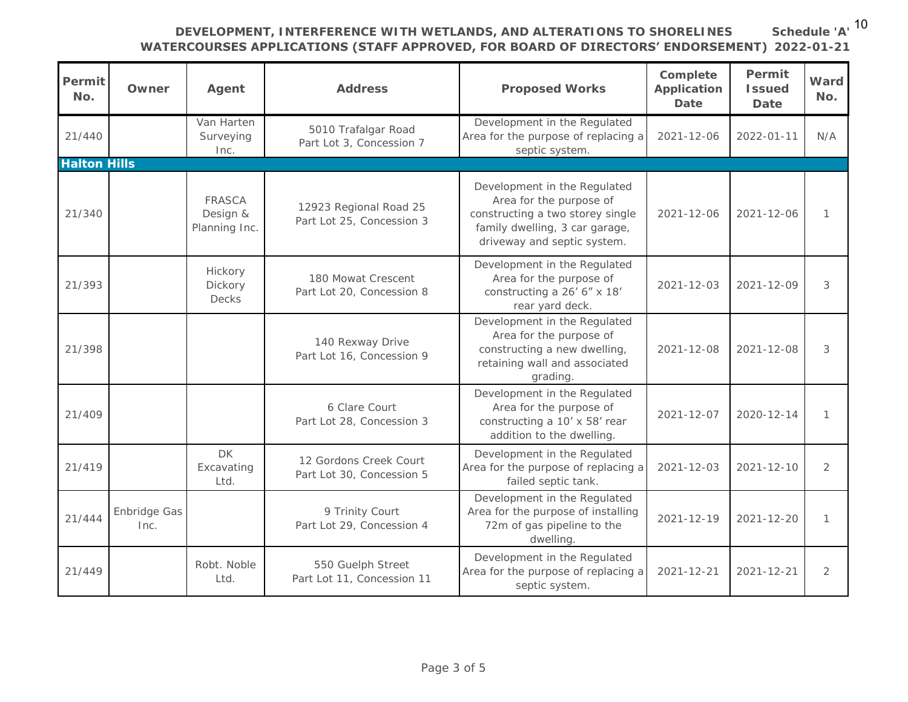#### **DEVELOPMENT, INTERFERENCE WITH WETLANDS, AND ALTERATIONS TO SHORELINES WATERCOURSES APPLICATIONS (STAFF APPROVED, FOR BOARD OF DIRECTORS' ENDORSEMENT) 2022-01-21**

**Schedule 'A'** 10

| Permit<br>No.       | Owner                | Agent                               | Address                                             | Proposed Works                                                                                                                                               | Complete<br>Application<br>Date | Permit<br><b>Issued</b><br>Date | Ward<br>No.   |
|---------------------|----------------------|-------------------------------------|-----------------------------------------------------|--------------------------------------------------------------------------------------------------------------------------------------------------------------|---------------------------------|---------------------------------|---------------|
| 21/440              |                      | Van Harten<br>Surveying<br>Inc.     | 5010 Trafalgar Road<br>Part Lot 3, Concession 7     | Development in the Regulated<br>Area for the purpose of replacing a<br>septic system.                                                                        | $2021 - 12 - 06$                | $2022 - 01 - 11$                | N/A           |
| <b>Halton Hills</b> |                      |                                     |                                                     |                                                                                                                                                              |                                 |                                 |               |
| 21/340              |                      | FRASCA<br>Design &<br>Planning Inc. | 12923 Regional Road 25<br>Part Lot 25, Concession 3 | Development in the Regulated<br>Area for the purpose of<br>constructing a two storey single<br>family dwelling, 3 car garage,<br>driveway and septic system. | $2021 - 12 - 06$                | $2021 - 12 - 06$                | 1             |
| 21/393              |                      | Hickory<br>Dickory<br>Decks         | 180 Mowat Crescent<br>Part Lot 20, Concession 8     | Development in the Regulated<br>Area for the purpose of<br>constructing a 26' 6" x 18'<br>rear yard deck.                                                    | $2021 - 12 - 03$                | $2021 - 12 - 09$                | 3             |
| 21/398              |                      |                                     | 140 Rexway Drive<br>Part Lot 16, Concession 9       | Development in the Regulated<br>Area for the purpose of<br>constructing a new dwelling,<br>retaining wall and associated<br>grading.                         | $2021 - 12 - 08$                | $2021 - 12 - 08$                | 3             |
| 21/409              |                      |                                     | 6 Clare Court<br>Part Lot 28, Concession 3          | Development in the Regulated<br>Area for the purpose of<br>constructing a 10' x 58' rear<br>addition to the dwelling                                         | $2021 - 12 - 07$                | 2020-12-14                      | 1             |
| 21/419              |                      | DK<br>Excavating<br>I td.           | 12 Gordons Creek Court<br>Part Lot 30, Concession 5 | Development in the Regulated<br>Area for the purpose of replacing a<br>failed septic tank.                                                                   | $2021 - 12 - 03$                | $2021 - 12 - 10$                | $\mathcal{D}$ |
| 21/444              | Enbridge Gas<br>Inc. |                                     | 9 Trinity Court<br>Part Lot 29, Concession 4        | Development in the Regulated<br>Area for the purpose of installing<br>72m of gas pipeline to the<br>dwelling                                                 | $2021 - 12 - 19$                | $2021 - 12 - 20$                | 1             |
| 21/449              |                      | Robt. Noble<br>Ltd.                 | 550 Guelph Street<br>Part Lot 11, Concession 11     | Development in the Regulated<br>Area for the purpose of replacing a<br>septic system.                                                                        | $2021 - 12 - 21$                | $2021 - 12 - 21$                | 2             |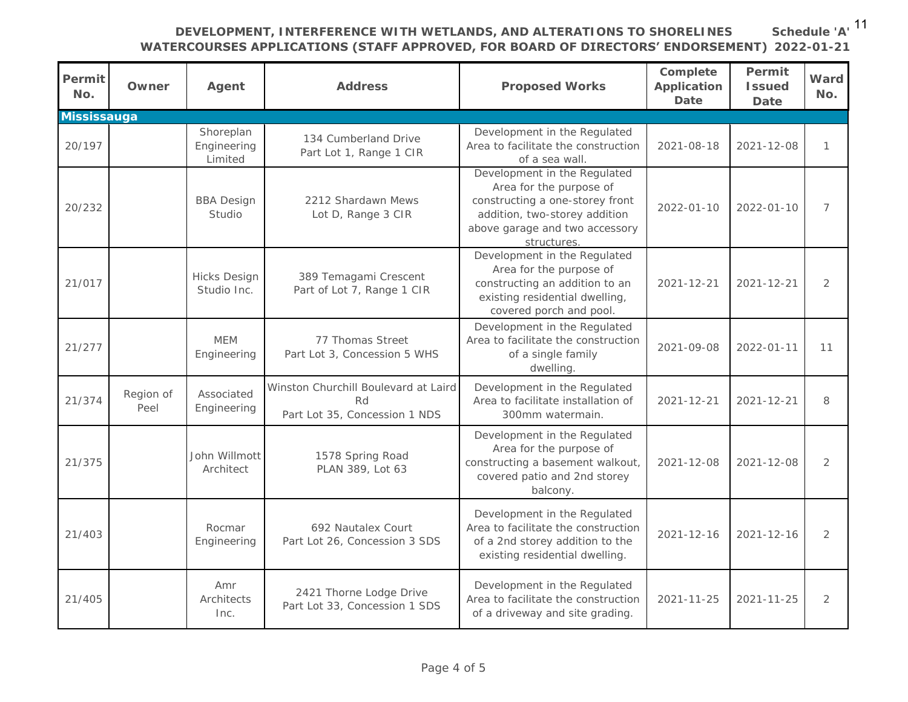**DEVELOPMENT, INTERFERENCE WITH WETLANDS, AND ALTERATIONS TO SHORELINES** 

**Schedule 'A'** 11

# **WATERCOURSES APPLICATIONS (STAFF APPROVED, FOR BOARD OF DIRECTORS' ENDORSEMENT) 2022-01-21**

| Permit<br>No. | Owner             | Agent                               | Address                                                                     | Proposed Works                                                                                                                                                               | Complete<br>Application<br>Date | Permit<br><b>Issued</b><br>Date | Ward<br>No.    |
|---------------|-------------------|-------------------------------------|-----------------------------------------------------------------------------|------------------------------------------------------------------------------------------------------------------------------------------------------------------------------|---------------------------------|---------------------------------|----------------|
| Mississauga   |                   |                                     |                                                                             |                                                                                                                                                                              |                                 |                                 |                |
| 20/197        |                   | Shoreplan<br>Engineering<br>Limited | 134 Cumberland Drive<br>Part Lot 1, Range 1 CIR                             | Development in the Regulated<br>Area to facilitate the construction<br>of a sea wall.                                                                                        | $2021 - 08 - 18$                | $2021 - 12 - 08$                | $\mathbf{1}$   |
| 20/232        |                   | <b>BBA Design</b><br>Studio         | 2212 Shardawn Mews<br>Lot D, Range 3 CIR                                    | Development in the Regulated<br>Area for the purpose of<br>constructing a one-storey front<br>addition, two-storey addition<br>above garage and two accessory<br>structures. | $2022 - 01 - 10$                | 2022-01-10                      | 7              |
| 21/017        |                   | <b>Hicks Design</b><br>Studio Inc.  | 389 Temagami Crescent<br>Part of Lot 7, Range 1 CIR                         | Development in the Regulated<br>Area for the purpose of<br>constructing an addition to an<br>existing residential dwelling,<br>covered porch and pool.                       | $2021 - 12 - 21$                | $2021 - 12 - 21$                | $\overline{2}$ |
| 21/277        |                   | <b>MEM</b><br>Engineering           | 77 Thomas Street<br>Part Lot 3, Concession 5 WHS                            | Development in the Regulated<br>Area to facilitate the construction<br>of a single family<br>dwelling.                                                                       | 2021-09-08                      | $2022 - 01 - 11$                | 11             |
| 21/374        | Region of<br>Peel | Associated<br>Engineering           | Winston Churchill Boulevard at Laird<br>Rd<br>Part Lot 35, Concession 1 NDS | Development in the Regulated<br>Area to facilitate installation of<br>300mm watermain.                                                                                       | $2021 - 12 - 21$                | 2021-12-21                      | 8              |
| 21/375        |                   | John Willmott<br>Architect          | 1578 Spring Road<br>PLAN 389, Lot 63                                        | Development in the Regulated<br>Area for the purpose of<br>constructing a basement walkout,<br>covered patio and 2nd storey<br>balcony.                                      | 2021-12-08                      | 2021-12-08                      | $\overline{2}$ |
| 21/403        |                   | Rocmar<br>Engineering               | 692 Nautalex Court<br>Part Lot 26, Concession 3 SDS                         | Development in the Regulated<br>Area to facilitate the construction<br>of a 2nd storey addition to the<br>existing residential dwelling.                                     | $2021 - 12 - 16$                | $2021 - 12 - 16$                | $\overline{2}$ |
| 21/405        |                   | Amr<br>Architects<br>Inc.           | 2421 Thorne Lodge Drive<br>Part Lot 33, Concession 1 SDS                    | Development in the Regulated<br>Area to facilitate the construction<br>of a driveway and site grading.                                                                       | $2021 - 11 - 25$                | 2021-11-25                      | $\overline{2}$ |